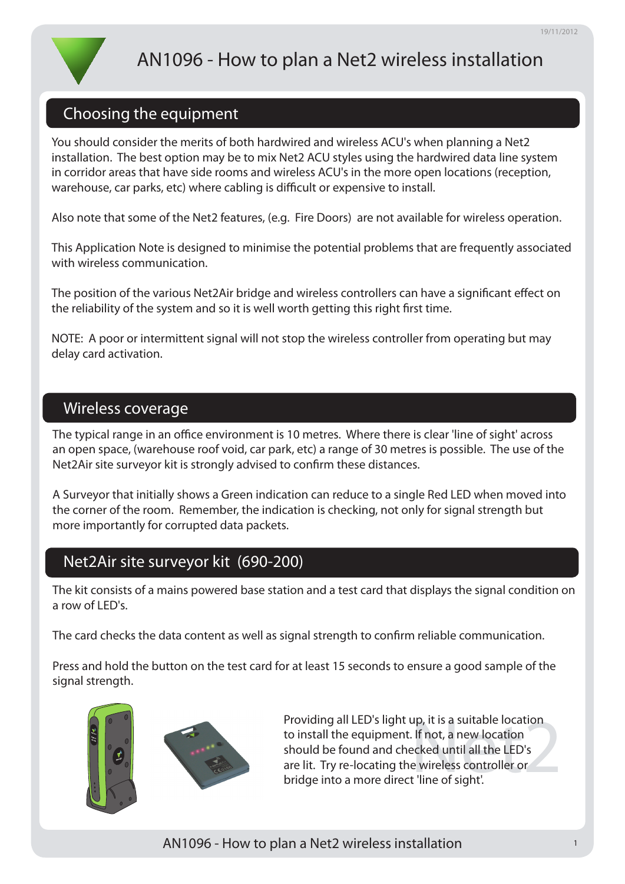# AN1096 - How to plan a Net2 wireless installation

## Choosing the equipment

You should consider the merits of both hardwired and wireless ACU's when planning a Net2 installation. The best option may be to mix Net2 ACU styles using the hardwired data line system in corridor areas that have side rooms and wireless ACU's in the more open locations (reception, warehouse, car parks, etc) where cabling is difficult or expensive to install.

Also note that some of the Net2 features, (e.g. Fire Doors) are not available for wireless operation.

This Application Note is designed to minimise the potential problems that are frequently associated with wireless communication.

The position of the various Net2Air bridge and wireless controllers can have a significant effect on the reliability of the system and so it is well worth getting this right first time.

NOTE: A poor or intermittent signal will not stop the wireless controller from operating but may delay card activation.

### Wireless coverage

The typical range in an office environment is 10 metres. Where there is clear 'line of sight' across an open space, (warehouse roof void, car park, etc) a range of 30 metres is possible. The use of the Net2Air site surveyor kit is strongly advised to confirm these distances.

A Surveyor that initially shows a Green indication can reduce to a single Red LED when moved into the corner of the room. Remember, the indication is checking, not only for signal strength but more importantly for corrupted data packets.

# Net2Air site surveyor kit (690-200)

The kit consists of a mains powered base station and a test card that displays the signal condition on a row of LED's.

The card checks the data content as well as signal strength to confirm reliable communication.

Press and hold the button on the test card for at least 15 seconds to ensure a good sample of the signal strength.





Providing all LED's light up, it is a suitable location<br>to install the equipment. If not, a new location<br>should be found and checked until all the LED's<br>are lit. Try re-locating the wireless controller or<br>bridge into a mor to install the equipment. If not, a new location should be found and checked until all the LED's are lit. Try re-locating the wireless controller or bridge into a more direct 'line of sight'.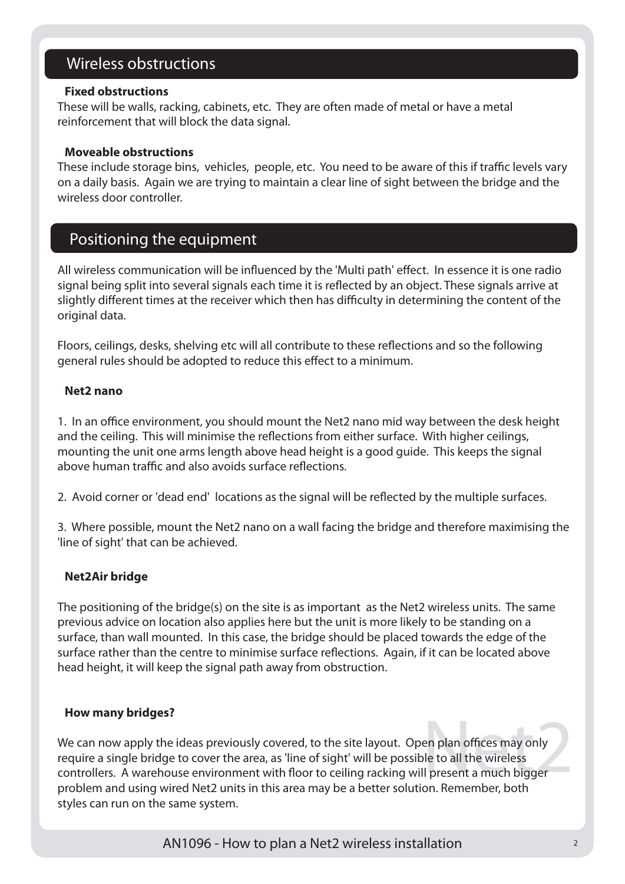# Wireless obstructions

#### **Fixed obstructions**

These will be walls, racking, cabinets, etc. They are often made of metal or have a metal reinforcement that will block the data signal.

#### X**Moveable obstructions**

These include storage bins, vehicles, people, etc. You need to be aware of this if traffic levels vary on a daily basis. Again we are trying to maintain a clear line of sight between the bridge and the wireless door controller.

### Positioning the equipment

All wireless communication will be influenced by the 'Multi path' effect. In essence it is one radio signal being split into several signals each time it is reflected by an object. These signals arrive at slightly different times at the receiver which then has difficulty in determining the content of the original data.

Floors, ceilings, desks, shelving etc will all contribute to these reflections and so the following general rules should be adopted to reduce this effect to a minimum.

#### X**Net2 nano**

1. In an office environment, you should mount the Net2 nano mid way between the desk height and the ceiling. This will minimise the reflections from either surface. With higher ceilings, mounting the unit one arms length above head height is a good guide. This keeps the signal above human traffic and also avoids surface reflections.

2. Avoid corner or 'dead end' locations as the signal will be reflected by the multiple surfaces.

3. Where possible, mount the Net2 nano on a wall facing the bridge and therefore maximising the 'line of sight' that can be achieved.

#### X**Net2Air bridge**

The positioning of the bridge(s) on the site is as important as the Net2 wireless units. The same previous advice on location also applies here but the unit is more likely to be standing on a surface, than wall mounted. In this case, the bridge should be placed towards the edge of the surface rather than the centre to minimise surface reflections. Again, if it can be located above head height, it will keep the signal path away from obstruction.

#### X**How many bridges?**

en plan offices may only<br>
le to all the wireless<br>
Il present a much bigger<br>
on Bomember beth We can now apply the ideas previously covered, to the site layout. Open plan offices may only require a single bridge to cover the area, as 'line of sight' will be possible to all the wireless controllers. A warehouse environment with floor to ceiling racking will present a much bigger problem and using wired Net2 units in this area may be a better solution. Remember, both styles can run on the same system.